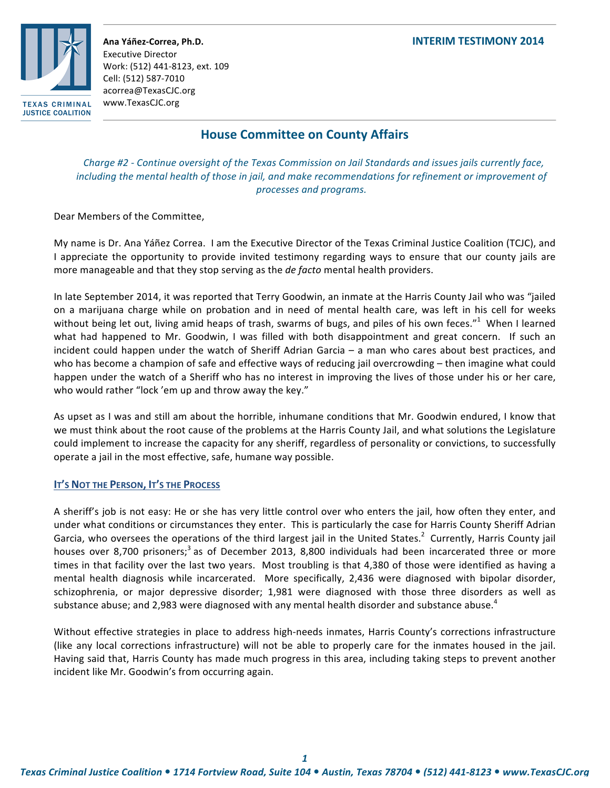### **Ana!Yáñez\*Correa,!Ph.D. INTERIM!TESTIMONY!2014**



Executive Director Work: (512) 441-8123, ext. 109 Cell: (512) 587-7010 acorrea@TexasCJC.org www.TexasCJC.org

# **House Committee on County Affairs**

*Charge #2 - Continue oversight of the Texas Commission on Jail Standards and issues jails currently face,* including the mental health of those in jail, and make recommendations for refinement or improvement of *processes!and!programs.*

Dear Members of the Committee,

My name is Dr. Ana Yáñez Correa. I am the Executive Director of the Texas Criminal Justice Coalition (TCJC), and I appreciate the opportunity to provide invited testimony regarding ways to ensure that our county jails are more manageable and that they stop serving as the *de facto* mental health providers.

In late September 2014, it was reported that Terry Goodwin, an inmate at the Harris County Jail who was "jailed on a marijuana charge while on probation and in need of mental health care, was left in his cell for weeks without being let out, living amid heaps of trash, swarms of bugs, and piles of his own feces."<sup>1</sup> When I learned what had happened to Mr. Goodwin, I was filled with both disappointment and great concern. If such an incident could happen under the watch of Sheriff Adrian Garcia – a)man who cares about best practices, and who)has become a champion of safe and effective ways of reducing jail overcrowding – then imagine what could happen under the watch of a Sheriff who has no interest in improving the lives of those under his or her care, who would rather "lock 'em up and throw away the key."

As upset as I was and still am about the horrible, inhumane conditions that Mr. Goodwin endured, I know that we)must think about the root cause of the problems at the Harris County Jail, and what solutions the Legislature could implement to increase the capacity for any sheriff, regardless of personality or convictions, to successfully operate a jail in the most effective, safe, humane way possible.

# **IT'S NOT THE PERSON, IT'S THE PROCESS**

A sheriff's job is not easy: He or she has very little control over who enters the jail, how often they enter, and under what conditions or circumstances they enter. This is particularly the case for Harris County Sheriff Adrian Garcia, who oversees the operations of the third largest jail in the United States.<sup>2</sup> Currently, Harris County jail houses over 8,700 prisoners;<sup>3</sup> as of December 2013, 8,800 individuals had been incarcerated three or more times in that facility over the last two years. Most troubling is that 4,380 of those were identified as having a mental health diagnosis while incarcerated. More specifically, 2,436 were diagnosed with bipolar disorder, schizophrenia, or major depressive disorder; 1,981 were diagnosed with those three disorders as well as substance abuse; and 2,983 were diagnosed with any mental health disorder and substance abuse.<sup>4</sup>

Without effective strategies in place to address high-needs inmates, Harris County's corrections infrastructure (like any local corrections infrastructure) will not be able to properly care for the inmates housed in the jail. Having said that, Harris County has made much progress in this area, including taking steps to prevent another incident like Mr. Goodwin's from occurring again.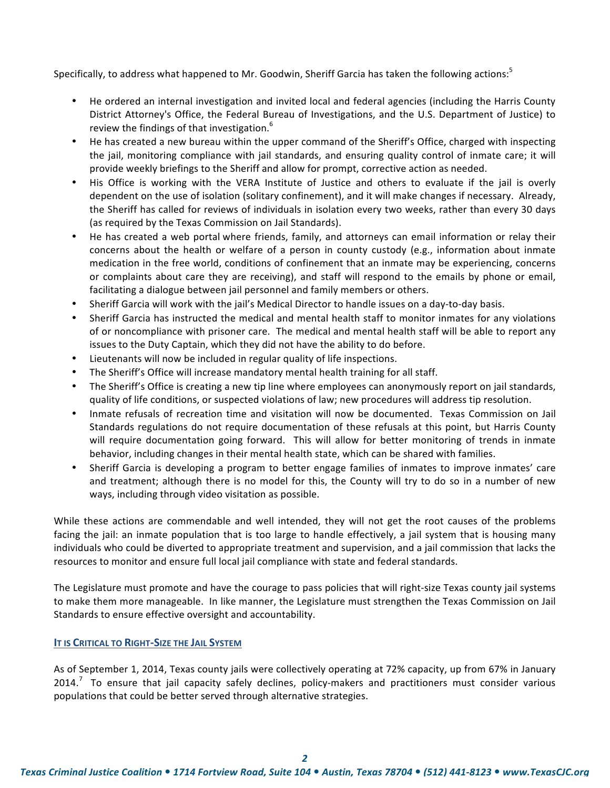Specifically, to address what happened to Mr. Goodwin, Sheriff Garcia has taken the following actions:<sup>5</sup>

- He ordered an internal investigation and invited local and federal agencies (including the Harris County) District Attorney's Office, the Federal Bureau of Investigations, and the U.S. Department of Justice) to review the findings of that investigation.<sup>6</sup>
- He has created a new bureau within the upper command of the Sheriff's Office, charged with inspecting the jail, monitoring compliance with jail standards, and ensuring quality control of inmate care; it will provide weekly briefings to the Sheriff and allow for prompt, corrective action as needed.
- His Office is working with the VERA Institute of Justice and others to evaluate if the jail is overly dependent on the use of isolation (solitary confinement), and it will make changes if necessary. Already, the Sheriff has called for reviews of individuals in isolation every two weeks, rather than every 30 days (as required by the Texas Commission on Jail Standards).
- He has created a web portal where friends, family, and attorneys can email information or relay their concerns about the health or welfare of a person in county custody (e.g., information about inmate medication in the free world, conditions of confinement that an inmate may be experiencing, concerns or complaints about care they are receiving), and staff will respond to the emails by phone or email, facilitating a dialogue between jail personnel and family members or others.
- Sheriff Garcia will work with the jail's Medical Director to handle issues on a day-to-day basis.
- Sheriff Garcia has instructed the medical and mental health staff to monitor inmates for any violations of or noncompliance with prisoner care. The medical and mental health staff will be able to report any issues to the Duty Captain, which they did not have the ability to do before.
- Lieutenants will now be included in regular quality of life inspections.
- The Sheriff's Office will increase mandatory mental health training for all staff.
- The Sheriff's Office is creating a new tip line where employees can anonymously report on jail standards, quality of life conditions, or suspected violations of law; new procedures will address tip resolution.
- Inmate refusals of recreation time and visitation will now be documented. Texas Commission on Jail Standards regulations do not require documentation of these refusals at this point, but Harris County will require documentation going forward. This will allow for better monitoring of trends in inmate behavior, including changes in their mental health state, which can be shared with families.
- Sheriff Garcia is developing a program to better engage families of inmates to improve inmates' care and treatment; although there is no model for this, the County will try to do so in a number of new ways, including through video visitation as possible.

While these actions are commendable and well intended, they will not get the root causes of the problems facing the jail: an inmate population that is too large to handle effectively, a jail system that is housing many individuals who could be diverted to appropriate treatment and supervision, and a jail commission that lacks the resources to monitor and ensure full local jail compliance with state and federal standards.

The Legislature must promote and have the courage to pass policies that will right-size Texas county jail systems to)make them)more manageable. In like manner, the Legislature must strengthen the Texas Commission on Jail Standards to ensure effective oversight and accountability.

# **IT IS CRITICAL TO RIGHT-SIZE THE JAIL SYSTEM**

As of September 1, 2014, Texas county jails were collectively operating at 72% capacity, up from 67% in January 2014.<sup>7</sup> To ensure that jail capacity safely declines, policy-makers and practitioners must consider various populations that could be better served through alternative strategies.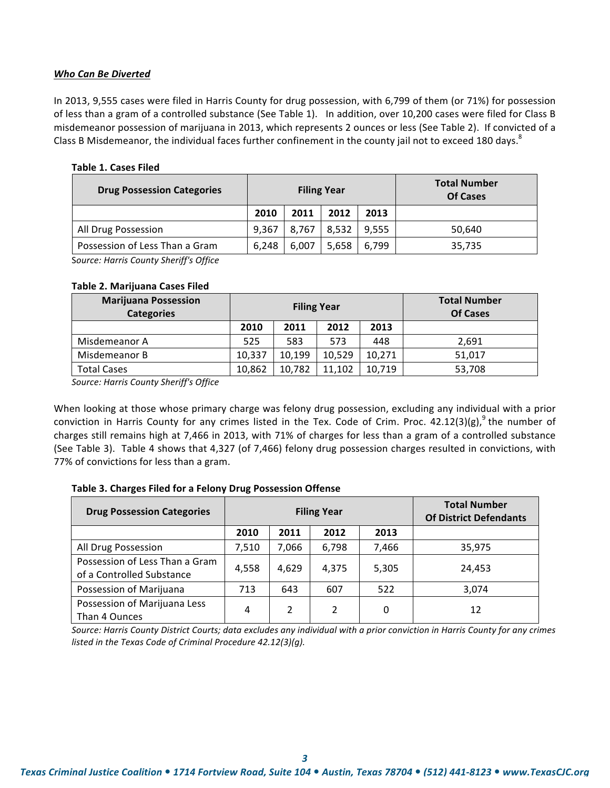### **Who Can Be Diverted**

In 2013, 9,555 cases were filed in Harris County for drug possession, with 6,799 of them (or 71%) for possession of less than a gram of a controlled substance (See Table 1). In addition, over 10,200 cases were filed for Class B misdemeanor possession of marijuana in 2013, which represents 2 ounces or less (See Table 2). If convicted of a Class B Misdemeanor, the individual faces further confinement in the county jail not to exceed 180 days.<sup>8</sup>

|  |  |  | <b>Table 1. Cases Filed</b> |  |
|--|--|--|-----------------------------|--|
|--|--|--|-----------------------------|--|

| <b>Drug Possession Categories</b> | <b>Filing Year</b> |       |       |       | <b>Total Number</b><br>Of Cases |
|-----------------------------------|--------------------|-------|-------|-------|---------------------------------|
|                                   | 2010               | 2011  | 2012  | 2013  |                                 |
| All Drug Possession               | 9.367              | 8.767 | 8.532 | 9,555 | 50,640                          |
| Possession of Less Than a Gram    | 6.248              | 6.007 | 5.658 | 6,799 | 35,735                          |

Source: Harris County Sheriff's Office

#### **Table 2. Marijuana Cases Filed**

| <b>Marijuana Possession</b><br><b>Categories</b> | <b>Filing Year</b> |        |        |        | <b>Total Number</b><br><b>Of Cases</b> |
|--------------------------------------------------|--------------------|--------|--------|--------|----------------------------------------|
|                                                  | 2010               | 2011   | 2012   | 2013   |                                        |
| Misdemeanor A                                    | 525                | 583    | 573    | 448    | 2,691                                  |
| Misdemeanor B                                    | 10,337             | 10.199 | 10,529 | 10,271 | 51,017                                 |
| Total Cases                                      | 10,862             | 10,782 | 11,102 | 10,719 | 53,708                                 |

Source: Harris County Sheriff's Office

When looking at those whose primary charge was felony drug possession, excluding any individual with a prior conviction in Harris County for any crimes listed in the Tex. Code of Crim. Proc. 42.12(3)(g), <sup>9</sup> the number of charges still remains high at 7,466 in 2013, with 71% of charges for less than a gram of a controlled substance (See Table 3). Table 4 shows that 4,327 (of 7,466) felony drug possession charges resulted in convictions, with 77% of convictions for less than a gram.

# Table 3. Charges Filed for a Felony Drug Possession Offense

| <b>Drug Possession Categories</b>                           |                              |       | <b>Filing Year</b> | <b>Total Number</b><br><b>Of District Defendants</b> |        |
|-------------------------------------------------------------|------------------------------|-------|--------------------|------------------------------------------------------|--------|
|                                                             | 2011<br>2012<br>2013<br>2010 |       |                    |                                                      |        |
| All Drug Possession                                         | 7,510                        | 7,066 | 6,798              | 7,466                                                | 35,975 |
| Possession of Less Than a Gram<br>of a Controlled Substance | 4,558                        | 4,629 | 4,375              | 5,305                                                | 24,453 |
| Possession of Marijuana                                     | 713                          | 643   | 607                | 522                                                  | 3,074  |
| Possession of Marijuana Less<br>Than 4 Ounces               | 4                            | 2     | 2                  | 0                                                    | 12     |

Source: Harris County District Courts; data excludes any individual with a prior conviction in Harris County for any crimes listed in the Texas Code of Criminal Procedure 42.12(3)(g).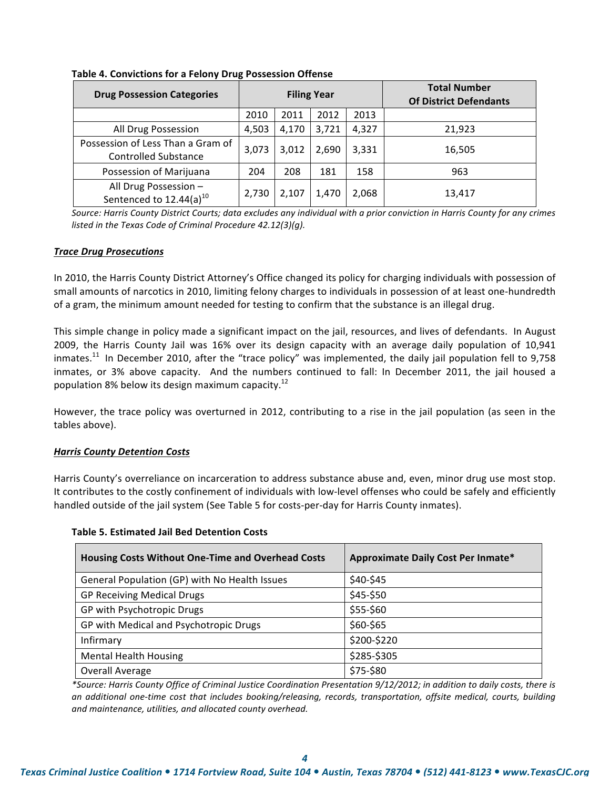| <b>Drug Possession Categories</b>                                |       |       | <b>Filing Year</b> |       | <b>Total Number</b><br><b>Of District Defendants</b> |
|------------------------------------------------------------------|-------|-------|--------------------|-------|------------------------------------------------------|
|                                                                  | 2010  | 2011  | 2012               | 2013  |                                                      |
| All Drug Possession                                              | 4,503 | 4,170 | 3,721              | 4.327 | 21,923                                               |
| Possession of Less Than a Gram of<br><b>Controlled Substance</b> | 3,073 | 3,012 | 2,690              | 3,331 | 16,505                                               |
| Possession of Marijuana                                          | 204   | 208   | 181                | 158   | 963                                                  |
| All Drug Possession -<br>Sentenced to $12.44(a)^{10}$            | 2,730 | 2,107 | 1,470              | 2,068 | 13,417                                               |

### Table 4. Convictions for a Felony Drug Possession Offense

Source: Harris County District Courts; data excludes any individual with a prior conviction in Harris County for any crimes *listed in the Texas Code of Criminal Procedure 42.12(3)(g).* 

### **Trace Drug Prosecutions**

In 2010, the Harris County District Attorney's Office changed its policy for charging individuals with possession of small amounts of narcotics in 2010, limiting felony charges to individuals in possession of at least one-hundredth of a gram, the minimum amount needed for testing to confirm that the substance is an illegal drug.

This simple change in policy made a significant impact on the jail, resources, and lives of defendants. In August 2009, the Harris County Jail was 16% over its design capacity with an average daily population of 10,941 inmates.<sup>11</sup> In December 2010, after the "trace policy" was implemented, the daily jail population fell to 9,758 inmates, or 3% above capacity. And the numbers continued to fall: In December 2011, the jail housed a population 8% below its design maximum capacity.<sup>12</sup>

However, the trace policy was overturned in 2012, contributing to a rise in the jail population (as seen in the tables above).

#### **Harris County Detention Costs**

Harris County's overreliance on incarceration to address substance abuse and, even, minor drug use most stop. It contributes to the costly confinement of individuals with low-level offenses who could be safely and efficiently handled outside of the jail system (See Table 5 for costs-per-day for Harris County inmates).

**Table!5.!Estimated!Jail!Bed!Detention!Costs**

| <b>Housing Costs Without One-Time and Overhead Costs</b> | Approximate Daily Cost Per Inmate* |
|----------------------------------------------------------|------------------------------------|
| General Population (GP) with No Health Issues            | \$40-\$45                          |
| <b>GP Receiving Medical Drugs</b>                        | \$45-\$50                          |
| GP with Psychotropic Drugs                               | \$55-\$60                          |
| GP with Medical and Psychotropic Drugs                   | \$60-\$65                          |
| Infirmary                                                | \$200-\$220                        |
| <b>Mental Health Housing</b>                             | \$285-\$305                        |
| Overall Average                                          | \$75-\$80                          |

\*Source: Harris County Office of Criminal Justice Coordination Presentation 9/12/2012; in addition to daily costs, there is an additional one-time cost that includes booking/releasing, records, transportation, offsite medical, courts, building and maintenance, utilities, and allocated county overhead.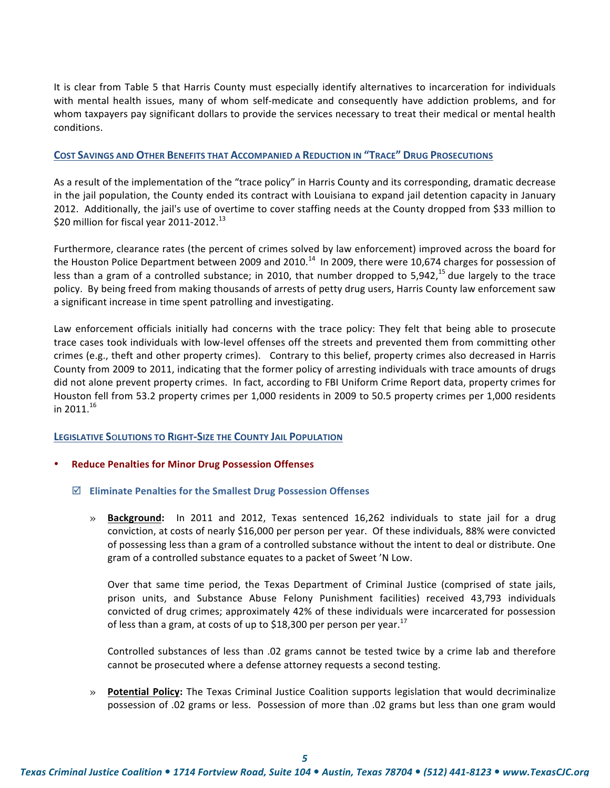It is clear from Table 5 that Harris County must especially identify alternatives to incarceration for individuals with) mental health issues, many of whom self-medicate and consequently have addiction problems, and for whom taxpayers pay significant dollars to provide the services necessary to treat their medical or mental health conditions.

### **COST SAVINGS AND OTHER BENEFITS THAT ACCOMPANIED A REDUCTION IN "TRACE" DRUG PROSECUTIONS**

As a result of the implementation of the "trace policy" in Harris County and its corresponding, dramatic decrease in the jail population, the County ended its contract with Louisiana to expand jail detention capacity in January 2012. Additionally, the jail's use of overtime to cover staffing needs at the County dropped from \$33 million to \$20 million for fiscal year 2011-2012.<sup>13</sup>

Furthermore, clearance rates (the percent of crimes solved by law enforcement) improved across the board for the Houston Police Department between 2009 and 2010.<sup>14</sup> In 2009, there were 10,674 charges for possession of less than a gram of a controlled substance; in 2010, that number dropped to 5,942,<sup>15</sup> due largely to the trace policy. By being freed from making thousands of arrests of petty drug users, Harris County law enforcement saw a significant increase in time spent patrolling and investigating.

Law enforcement officials initially had concerns with the trace policy: They felt that being able to prosecute trace cases took individuals with low-level offenses off the streets and prevented them from committing other crimes (e.g., theft and other property crimes). Contrary to this belief, property crimes also decreased in Harris County from 2009 to 2011, indicating that the former policy of arresting individuals with trace amounts of drugs did not alone prevent property crimes. In fact, according to FBI Uniform Crime Report data, property crimes for Houston fell from 53.2 property crimes per 1,000 residents in 2009 to 50.5 property crimes per 1,000 residents in 2011. $^{16}$ 

#### **LEGISLATIVE SOLUTIONS TO RIGHT-SIZE THE COUNTY JAIL POPULATION**

#### **Reduce Penalties for Minor Drug Possession Offenses**

- $\boxtimes$  **Eliminate Penalties for the Smallest Drug Possession Offenses** 
	- » **Background:** In 2011 and 2012, Texas sentenced 16,262 individuals to state jail for a drug conviction, at costs of nearly \$16,000 per person per year. Of these individuals, 88% were convicted of possessing less than a gram of a controlled substance without the intent to deal or distribute. One gram of a controlled substance equates to a packet of Sweet 'N Low.

Over that same time period, the Texas Department of Criminal Justice (comprised of state jails, prison units, and Substance Abuse Felony Punishment facilities) received 43,793 individuals convicted of drug crimes; approximately 42% of these individuals were incarcerated for possession of less than a gram, at costs of up to \$18,300 per person per year.<sup>17</sup>

Controlled substances of less than .02 grams cannot be tested twice by a crime lab and therefore cannot be prosecuted where a defense attorney requests a second testing.

» **Potential Policy:** The Texas Criminal Justice Coalition supports legislation that would decriminalize possession of .02 grams or less. Possession of more than .02 grams but less than one gram would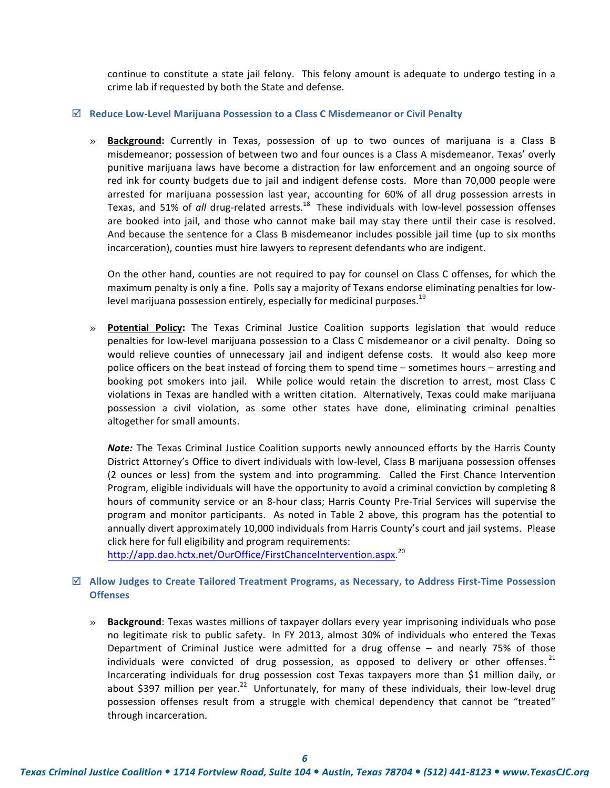continue to constitute a state jail felony. This felony amount is adequate to undergo testing in a crime lab if requested by both the State and defense.

#### $✓$  **Reduce Low-Level Marijuana Possession to a Class C Misdemeanor or Civil Penalty**

» **Background:** Currently in Texas, possession of up to two ounces of marijuana is a Class B misdemeanor; possession of between two and four ounces is a Class A misdemeanor. Texas' overly punitive marijuana laws have become a distraction for law enforcement and an ongoing source of red ink for county budgets due to jail and indigent defense costs. More than 70,000 people were arrested for marijuana possession last year, accounting for 60% of all drug possession arrests in Texas, and 51% of *all* drug-related arrests.<sup>18</sup> These individuals with low-level possession offenses are) booked into jail, and those who cannot make bail may stay there until their case is resolved. And because the sentence for a Class B misdemeanor includes possible jail time (up to six months incarceration), counties must hire lawyers to represent defendants who are indigent.

On the other hand, counties are not required to pay for counsel on Class C offenses, for which the maximum penalty is only a fine. Polls say a majority of Texans endorse eliminating penalties for lowlevel marijuana possession entirely, especially for medicinal purposes.<sup>19</sup>

» **Potential Policy:** The Texas Criminal Justice Coalition supports legislation that would reduce penalties for low-level marijuana possession to a Class C misdemeanor or a civil penalty. Doing so would relieve counties of unnecessary jail and indigent defense costs. It would also keep more police officers on the beat instead of forcing them to spend time – sometimes hours – arresting and booking pot smokers into jail. While police would retain the discretion to arrest, most Class C violations in Texas are handled with a written citation. Alternatively, Texas could make marijuana possession a civil violation, as some other states have done, eliminating criminal penalties altogether for small amounts.

**Note:** The Texas Criminal Justice Coalition supports newly announced efforts by the Harris County District Attorney's Office to divert individuals with low-level, Class B marijuana possession offenses (2) ounces or less) from the system and into programming. Called the First Chance Intervention Program, eligible individuals will have the opportunity to avoid a criminal conviction by completing 8 hours of community service or an 8-hour class; Harris County Pre-Trial Services will supervise the program and monitor participants. As noted in Table 2 above, this program has the potential to annually divert approximately 10,000 individuals from Harris County's court and jail systems. Please click here for full eligibility and program requirements:

http://app.dao.hctx.net/OurOffice/FirstChanceIntervention.aspx.<sup>20</sup>

### $\boxtimes$  Allow Judges to Create Tailored Treatment Programs, as Necessary, to Address First-Time Possession **Offenses**

**Background**: Texas wastes millions of taxpayer dollars every year imprisoning individuals who pose no legitimate risk to public safety. In FY 2013, almost 30% of individuals who entered the Texas Department of Criminal Justice were admitted for a drug offense – and nearly 75% of those individuals were convicted of drug possession, as opposed to delivery or other offenses.  $^{21}$ Incarcerating individuals for drug possession cost Texas taxpayers more than \$1 million daily, or about \$397 million per year.<sup>22</sup> Unfortunately, for many of these individuals, their low-level drug possession offenses result from a struggle with chemical dependency that cannot be "treated" through incarceration.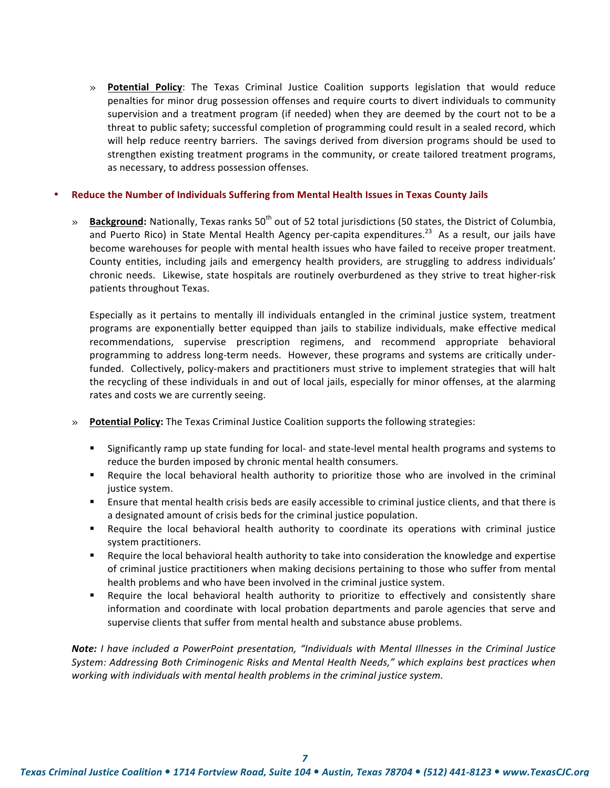» **Potential Policy**: The Texas Criminal Justice Coalition supports legislation that would reduce penalties for minor drug possession offenses and require courts to divert individuals to community supervision and a treatment program (if needed) when they are deemed by the court not to be a threat to public safety; successful completion of programming could result in a sealed record, which will help reduce reentry barriers. The savings derived from diversion programs should be used to strengthen existing treatment programs in the community, or create tailored treatment programs, as necessary, to address possession offenses.

#### **Reduce the Number of Individuals Suffering from Mental Health Issues in Texas County Jails**

» **Background:** Nationally, Texas ranks 50<sup>th</sup> out of 52 total jurisdictions (50 states, the District of Columbia, and Puerto Rico) in State Mental Health Agency per-capita expenditures.<sup>23</sup> As a result, our jails have become warehouses for people with mental health issues who have failed to receive proper treatment. County entities, including jails and emergency health providers, are struggling to address individuals' chronic needs. Likewise, state hospitals are routinely overburdened as they strive to treat higher-risk patients throughout Texas.

Especially as it pertains to mentally ill individuals entangled in the criminal justice system, treatment programs are exponentially better equipped than jails to stabilize individuals, make effective medical recommendations, supervise prescription regimens, and recommend appropriate behavioral programming to address long-term needs. However, these programs and systems are critically underfunded. Collectively, policy-makers and practitioners must strive to implement strategies that will halt the recycling of these individuals in and out of local jails, especially for minor offenses, at the alarming rates and costs we are currently seeing.

- » **Potential Policy:** The Texas Criminal Justice Coalition supports the following strategies:
	- " Significantly ramp up state funding for local- and state-level mental health programs and systems to reduce the burden imposed by chronic mental health consumers.
	- " Require the local behavioral health authority to prioritize those who are involved in the criminal justice system.
	- " Ensure that mental health crisis beds are easily accessible to criminal justice clients, and that there is a designated amount of crisis beds for the criminal justice population.
	- " Require the local behavioral health authority to coordinate its operations with criminal justice system practitioners.
	- " Require the local behavioral health authority to take into consideration the knowledge and expertise of criminal justice practitioners when making decisions pertaining to those who suffer from mental health problems and who have been involved in the criminal justice system.
	- " Require the local behavioral health authority to prioritize to effectively and consistently share information and coordinate with local probation departments and parole agencies that serve and supervise clients that suffer from mental health and substance abuse problems.

**Note:** *I have included a PowerPoint presentation, "Individuals with Mental Illnesses in the Criminal Justice System: Addressing Both Criminogenic Risks and Mental Health Needs," which explains best practices when* working with individuals with mental health problems in the criminal justice system.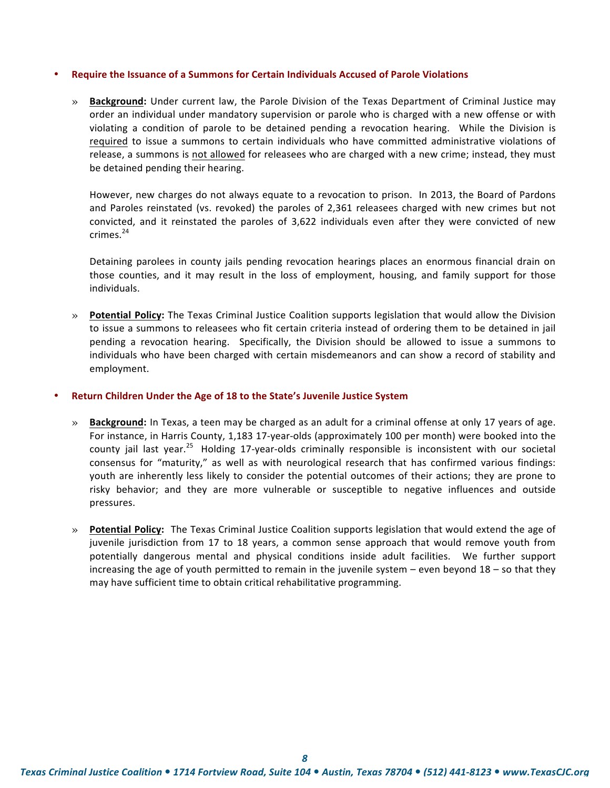#### **Require the Issuance of a Summons for Certain Individuals Accused of Parole Violations**

» **Background:** Under current law, the Parole Division of the Texas Department of Criminal Justice may order an individual under mandatory supervision or parole who is charged with a new offense or with violating a condition of parole to be detained pending a revocation hearing. While the Division is required to issue a summons to certain individuals who have committed administrative violations of release, a summons is not allowed for releasees who are charged with a new crime; instead, they must be detained pending their hearing.

However, new charges do not always equate to a revocation to prison. In 2013, the Board of Pardons and Paroles reinstated (vs. revoked) the paroles of 2,361 releasees charged with new crimes but not convicted, and it reinstated the paroles of 3,622 individuals even after they were convicted of new  $crimes<sup>24</sup>$ 

Detaining parolees in county jails pending revocation hearings places an enormous financial drain on those counties, and it may result in the loss of employment, housing, and family support for those individuals.

» **Potential Policy:** The Texas Criminal Justice Coalition supports legislation that would allow the Division to)issue a summons to releasees who fit certain criteria instead of ordering them to be detained in jail pending a revocation hearing. Specifically, the Division should be allowed to issue a summons to individuals who have been charged with certain misdemeanors and can show a record of stability and employment.

#### **Return Children Under the Age of 18 to the State's Juvenile Justice System**

- » **Background:** In Texas, a teen may be charged as an adult for a criminal offense at only 17 years of age. For instance, in Harris County, 1,183 17-year-olds (approximately 100 per month) were booked into the county jail last year.<sup>25</sup> Holding 17-year-olds criminally responsible is inconsistent with our societal consensus for "maturity," as well as with neurological research that has confirmed various findings: youth are inherently less likely to consider the potential outcomes of their actions; they are prone to risky behavior; and they are more vulnerable or susceptible to negative influences and outside pressures.
- » **Potential Policy:** The Texas Criminal Justice Coalition supports legislation that would extend the age of juvenile jurisdiction from 17 to 18 years, a common sense approach that would remove youth from potentially dangerous mental and physical conditions inside adult facilities. We further support increasing the age of youth permitted to remain in the juvenile system – even beyond  $18$  – so that they may have sufficient time to obtain critical rehabilitative programming.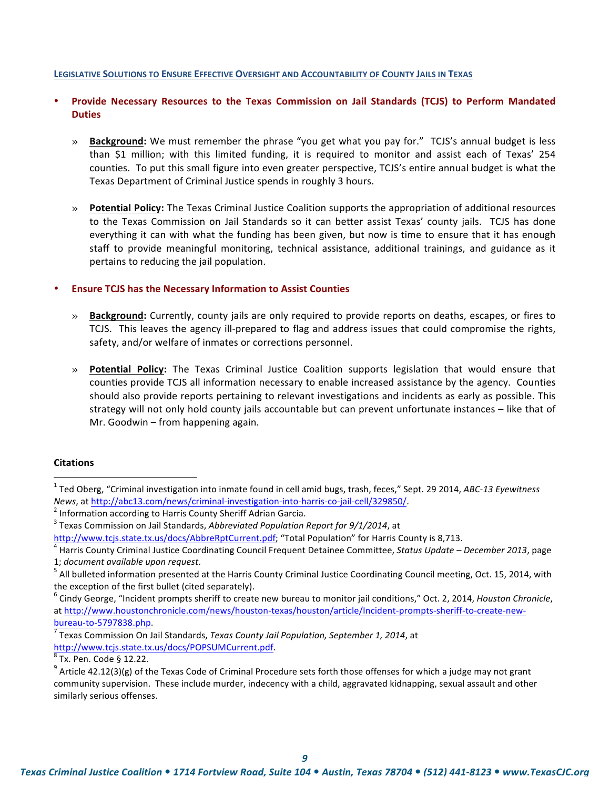#### **LEGISLATIVE SOLUTIONS TO ENSURE EFFECTIVE OVERSIGHT AND ACCOUNTABILITY OF COUNTY JAILS IN TEXAS**

# • **Provide! Necessary! Resources! to! the! Texas! Commission! on! Jail! Standards (TCJS) to! Perform! Mandated! Duties**

- » **Background:** We must remember the phrase "you get what you pay for." TCJS's annual budget is less than \$1 million; with this limited funding, it is required to monitor and assist each of Texas' 254 counties. To put this small figure into even greater perspective, TCJS's entire annual budget is what the Texas Department of Criminal Justice spends in roughly 3 hours.
- » **Potential Policy:** The Texas Criminal Justice Coalition supports the appropriation of additional resources to) the Texas Commission on Jail Standards so it can better assist Texas' county jails. TCJS has done everything it can with what the funding has been given, but now is time to ensure that it has enough staff to provide meaningful monitoring, technical assistance, additional trainings, and guidance as it pertains to reducing the jail population.

#### **Ensure TCJS has the Necessary Information to Assist Counties**

- » **Background:** Currently, county jails are only required to provide reports on deaths, escapes, or fires to TCJS. This leaves the agency ill-prepared to flag and address issues that could compromise the rights, safety, and/or welfare of inmates or corrections personnel.
- » **Potential Policy:** The Texas Criminal Justice Coalition supports legislation that would ensure that counties provide TCJS all information necessary to enable increased assistance by the agency. Counties should also provide reports pertaining to relevant investigations and incidents as early as possible. This strategy will not only hold county jails accountable but can prevent unfortunate instances – like that of Mr. Goodwin – from happening again.

#### **Citations**

 $\overline{a}$ 

<sup>&</sup>lt;sup>1</sup> Ted Oberg, "Criminal investigation into inmate found in cell amid bugs, trash, feces," Sept. 29 2014, *ABC-13 Eyewitness News*, at http://abc13.com/news/criminal-investigation-into-harris-co-jail-cell/329850/.<br><sup>2</sup> Information according to Harris County Sheriff Adrian Garcia.

<sup>&</sup>lt;sup>3</sup> Texas Commission on Jail Standards, Abbreviated Population Report for 9/1/2014, at

http://www.tcjs.state.tx.us/docs/AbbreRptCurrent.pdf; "Total Population" for Harris County is 8,713.<br><sup>4</sup> Harris County Criminal Justice Coordinating Council Frequent Detainee Committee, Status Update – December 2013, page

<sup>1;</sup> *document available upon request*.<br><sup>5</sup> All bulleted information presented at the Harris County Criminal Justice Coordinating Council meeting, Oct. 15, 2014, with the exception of the first bullet (cited separately).

<sup>&</sup>lt;sup>6</sup> Cindy George, "Incident prompts sheriff to create new bureau to monitor jail conditions," Oct. 2, 2014, *Houston Chronicle*, at http://www.houstonchronicle.com/news/houston-texas/houston/article/Incident-prompts-sheriff-to-create-newbureau-to-5797838.php.<br><sup>7</sup> Texas Commission On Jail Standards, *Texas County Jail Population, September 1, 2014*, at

http://www.tcjs.state.tx.us/docs/POPSUMCurrent.pdf.<br> $8$ Tx. Pen. Code § 12.22.

 $9$  Article 42.12(3)(g) of the Texas Code of Criminal Procedure sets forth those offenses for which a judge may not grant community supervision. These include murder, indecency with a child, aggravated kidnapping, sexual assault and other similarly serious offenses.